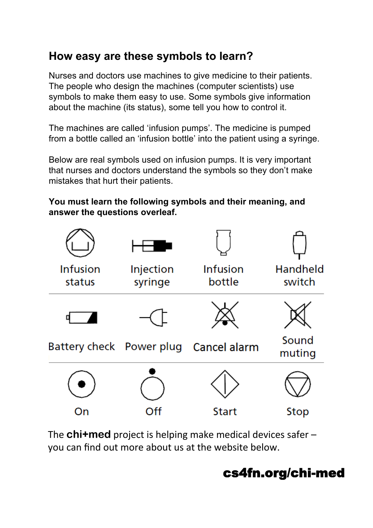# **How easy are these symbols to learn?**

Nurses and doctors use machines to give medicine to their patients. The people who design the machines (computer scientists) use symbols to make them easy to use. Some symbols give information about the machine (its status), some tell you how to control it.

The machines are called 'infusion pumps'. The medicine is pumped from a bottle called an 'infusion bottle' into the patient using a syringe.

Below are real symbols used on infusion pumps. It is very important that nurses and doctors understand the symbols so they don't make mistakes that hurt their patients.

#### **You must learn the following symbols and their meaning, and answer the questions overleaf.**



The **chi+med** project is helping make medical devices safer – you can find out more about us at the website below.

# cs4fn.org/chi-med